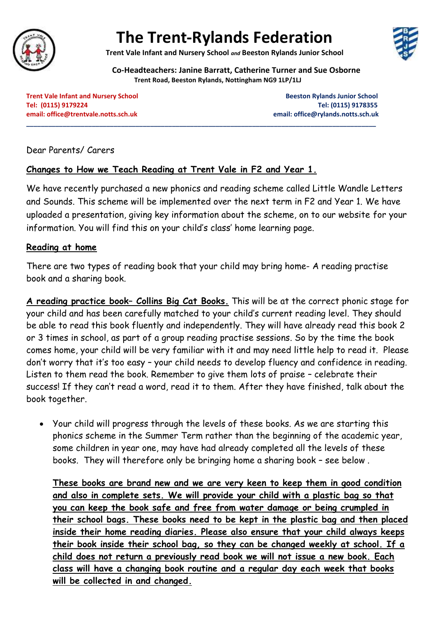

# **The Trent-Rylands Federation**

**Trent Vale Infant and Nursery School** *and* **Beeston Rylands Junior School**



**Co-Headteachers: Janine Barratt, Catherine Turner and Sue Osborne**

**Trent Road, Beeston Rylands, Nottingham NG9 1LP/1LJ**

**\_\_\_\_\_\_\_\_\_\_\_\_\_\_\_\_\_\_\_\_\_\_\_\_\_\_\_\_\_\_\_\_\_\_\_\_\_\_\_\_\_\_\_\_\_\_\_\_\_\_\_\_\_\_\_\_\_\_\_\_\_\_\_\_\_\_\_\_\_\_\_\_\_\_\_\_\_\_\_\_\_\_\_\_\_\_\_\_\_\_\_\_\_\_\_\_**

**Trent Vale Infant and Nursery School School Beeston Rylands Junior School Beeston Rylands Junior School Tel: (0115) 9179224 Tel: (0115) 9178355 email: [office@trentvale.notts.sch.uk](mailto:office@trentvale.notts.sch.uk) email[: office@rylands.notts.sch.uk](mailto:office@rylands.notts.sch.uk)**

Dear Parents/ Carers

## **Changes to How we Teach Reading at Trent Vale in F2 and Year 1.**

We have recently purchased a new phonics and reading scheme called Little Wandle Letters and Sounds. This scheme will be implemented over the next term in F2 and Year 1. We have uploaded a presentation, giving key information about the scheme, on to our website for your information. You will find this on your child's class' home learning page.

### **Reading at home**

There are two types of reading book that your child may bring home- A reading practise book and a sharing book.

**A reading practice book– Collins Big Cat Books.** This will be at the correct phonic stage for your child and has been carefully matched to your child's current reading level. They should be able to read this book fluently and independently. They will have already read this book 2 or 3 times in school, as part of a group reading practise sessions. So by the time the book comes home, your child will be very familiar with it and may need little help to read it. Please don't worry that it's too easy – your child needs to develop fluency and confidence in reading. Listen to them read the book. Remember to give them lots of praise – celebrate their success! If they can't read a word, read it to them. After they have finished, talk about the book together.

• Your child will progress through the levels of these books. As we are starting this phonics scheme in the Summer Term rather than the beginning of the academic year, some children in year one, may have had already completed all the levels of these books. They will therefore only be bringing home a sharing book – see below .

**These books are brand new and we are very keen to keep them in good condition and also in complete sets. We will provide your child with a plastic bag so that you can keep the book safe and free from water damage or being crumpled in their school bags. These books need to be kept in the plastic bag and then placed inside their home reading diaries. Please also ensure that your child always keeps their book inside their school bag, so they can be changed weekly at school. If a child does not return a previously read book we will not issue a new book. Each class will have a changing book routine and a regular day each week that books will be collected in and changed.**